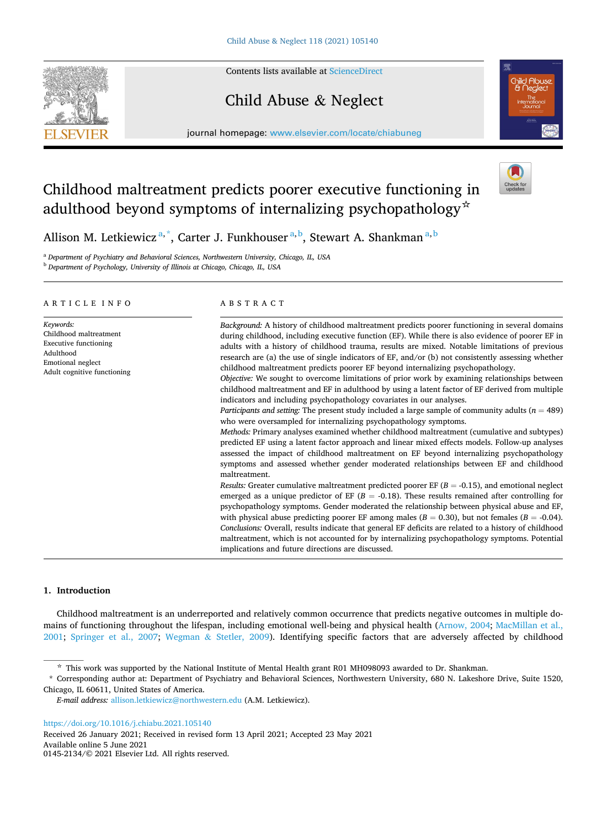Contents lists available at [ScienceDirect](www.sciencedirect.com/science/journal/01452134)

# Child Abuse & Neglect

journal homepage: [www.elsevier.com/locate/chiabuneg](https://www.elsevier.com/locate/chiabuneg)

# Childhood maltreatment predicts poorer executive functioning in adulthood beyond symptoms of internalizing psychopathology☆



Allison M. Letkiewicz<sup>a,\*</sup>, Carter J. Funkhouser<sup>a,b</sup>, Stewart A. Shankman<sup>a,b</sup>

<sup>a</sup> *Department of Psychiatry and Behavioral Sciences, Northwestern University, Chicago, IL, USA* 

<sup>b</sup> *Department of Psychology, University of Illinois at Chicago, Chicago, IL, USA* 

# ARTICLE INFO

*Keywords:*  Childhood maltreatment Executive functioning Adulthood Emotional neglect Adult cognitive functioning

## ABSTRACT

*Background:* A history of childhood maltreatment predicts poorer functioning in several domains during childhood, including executive function (EF). While there is also evidence of poorer EF in adults with a history of childhood trauma, results are mixed. Notable limitations of previous research are (a) the use of single indicators of EF, and/or (b) not consistently assessing whether childhood maltreatment predicts poorer EF beyond internalizing psychopathology.

*Objective:* We sought to overcome limitations of prior work by examining relationships between childhood maltreatment and EF in adulthood by using a latent factor of EF derived from multiple indicators and including psychopathology covariates in our analyses.

*Participants and setting:* The present study included a large sample of community adults (*n* = 489) who were oversampled for internalizing psychopathology symptoms.

*Methods:* Primary analyses examined whether childhood maltreatment (cumulative and subtypes) predicted EF using a latent factor approach and linear mixed effects models. Follow-up analyses assessed the impact of childhood maltreatment on EF beyond internalizing psychopathology symptoms and assessed whether gender moderated relationships between EF and childhood maltreatment.

*Results:* Greater cumulative maltreatment predicted poorer EF  $(B = -0.15)$ , and emotional neglect emerged as a unique predictor of EF ( $B = -0.18$ ). These results remained after controlling for psychopathology symptoms. Gender moderated the relationship between physical abuse and EF, with physical abuse predicting poorer EF among males  $(B = 0.30)$ , but not females  $(B = -0.04)$ . *Conclusions:* Overall, results indicate that general EF deficits are related to a history of childhood maltreatment, which is not accounted for by internalizing psychopathology symptoms. Potential implications and future directions are discussed.

# **1. Introduction**

Childhood maltreatment is an underreported and relatively common occurrence that predicts negative outcomes in multiple domains of functioning throughout the lifespan, including emotional well-being and physical health [\(Arnow, 2004;](#page-8-0) [MacMillan et al.,](#page-9-0) [2001;](#page-9-0) [Springer et al., 2007;](#page-10-0) Wegman & [Stetler, 2009\)](#page-10-0). Identifying specific factors that are adversely affected by childhood

\* Corresponding author at: Department of Psychiatry and Behavioral Sciences, Northwestern University, 680 N. Lakeshore Drive, Suite 1520, Chicago, IL 60611, United States of America.

*E-mail address:* [allison.letkiewicz@northwestern.edu](mailto:allison.letkiewicz@northwestern.edu) (A.M. Letkiewicz).

<https://doi.org/10.1016/j.chiabu.2021.105140>

Available online 5 June 2021 0145-2134/© 2021 Elsevier Ltd. All rights reserved. Received 26 January 2021; Received in revised form 13 April 2021; Accepted 23 May 2021



<sup>☆</sup> This work was supported by the National Institute of Mental Health grant R01 MH098093 awarded to Dr. Shankman.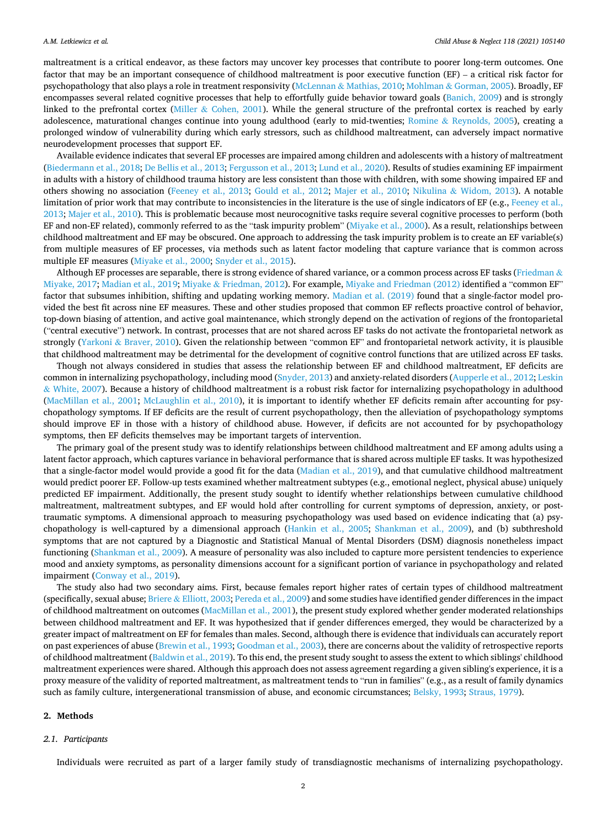maltreatment is a critical endeavor, as these factors may uncover key processes that contribute to poorer long-term outcomes. One factor that may be an important consequence of childhood maltreatment is poor executive function (EF) – a critical risk factor for psychopathology that also plays a role in treatment responsivity (McLennan & [Mathias, 2010;](#page-9-0) Mohlman & [Gorman, 2005](#page-10-0)). Broadly, EF encompasses several related cognitive processes that help to effortfully guide behavior toward goals [\(Banich, 2009](#page-8-0)) and is strongly linked to the prefrontal cortex (Miller & [Cohen, 2001\)](#page-9-0). While the general structure of the prefrontal cortex is reached by early adolescence, maturational changes continue into young adulthood (early to mid-twenties; Romine & [Reynolds, 2005](#page-10-0)), creating a prolonged window of vulnerability during which early stressors, such as childhood maltreatment, can adversely impact normative neurodevelopment processes that support EF.

Available evidence indicates that several EF processes are impaired among children and adolescents with a history of maltreatment [\(Biedermann et al., 2018; De Bellis et al., 2013](#page-9-0); [Fergusson et al., 2013](#page-9-0); [Lund et al., 2020](#page-9-0)). Results of studies examining EF impairment in adults with a history of childhood trauma history are less consistent than those with children, with some showing impaired EF and others showing no association ([Feeney et al., 2013](#page-9-0); [Gould et al., 2012;](#page-9-0) [Majer et al., 2010](#page-9-0); Nikulina & [Widom, 2013](#page-10-0)). A notable limitation of prior work that may contribute to inconsistencies in the literature is the use of single indicators of EF (e.g., [Feeney et al.,](#page-9-0) [2013; Majer et al., 2010](#page-9-0)). This is problematic because most neurocognitive tasks require several cognitive processes to perform (both EF and non-EF related), commonly referred to as the "task impurity problem" ([Miyake et al., 2000\)](#page-10-0). As a result, relationships between childhood maltreatment and EF may be obscured. One approach to addressing the task impurity problem is to create an EF variable(s) from multiple measures of EF processes, via methods such as latent factor modeling that capture variance that is common across multiple EF measures [\(Miyake et al., 2000; Snyder et al., 2015](#page-10-0)).

Although EF processes are separable, there is strong evidence of shared variance, or a common process across EF tasks ([Friedman](#page-9-0)  $\&$ [Miyake, 2017](#page-9-0); [Madian et al., 2019](#page-9-0); Miyake & [Friedman, 2012](#page-9-0)). For example, [Miyake and Friedman \(2012\)](#page-9-0) identified a "common EF" factor that subsumes inhibition, shifting and updating working memory. [Madian et al. \(2019\)](#page-9-0) found that a single-factor model provided the best fit across nine EF measures. These and other studies proposed that common EF reflects proactive control of behavior, top-down biasing of attention, and active goal maintenance, which strongly depend on the activation of regions of the frontoparietal ("central executive") network. In contrast, processes that are not shared across EF tasks do not activate the frontoparietal network as strongly (Yarkoni & [Braver, 2010](#page-10-0)). Given the relationship between "common EF" and frontoparietal network activity, it is plausible that childhood maltreatment may be detrimental for the development of cognitive control functions that are utilized across EF tasks.

Though not always considered in studies that assess the relationship between EF and childhood maltreatment, EF deficits are common in internalizing psychopathology, including mood [\(Snyder, 2013](#page-10-0)) and anxiety-related disorders [\(Aupperle et al., 2012;](#page-8-0) [Leskin](#page-9-0)  $&$  [White, 2007](#page-9-0)). Because a history of childhood maltreatment is a robust risk factor for internalizing psychopathology in adulthood [\(MacMillan et al., 2001;](#page-9-0) [McLaughlin et al., 2010](#page-9-0)), it is important to identify whether EF deficits remain after accounting for psychopathology symptoms. If EF deficits are the result of current psychopathology, then the alleviation of psychopathology symptoms should improve EF in those with a history of childhood abuse. However, if deficits are not accounted for by psychopathology symptoms, then EF deficits themselves may be important targets of intervention.

The primary goal of the present study was to identify relationships between childhood maltreatment and EF among adults using a latent factor approach, which captures variance in behavioral performance that is shared across multiple EF tasks. It was hypothesized that a single-factor model would provide a good fit for the data [\(Madian et al., 2019\)](#page-9-0), and that cumulative childhood maltreatment would predict poorer EF. Follow-up tests examined whether maltreatment subtypes (e.g., emotional neglect, physical abuse) uniquely predicted EF impairment. Additionally, the present study sought to identify whether relationships between cumulative childhood maltreatment, maltreatment subtypes, and EF would hold after controlling for current symptoms of depression, anxiety, or posttraumatic symptoms. A dimensional approach to measuring psychopathology was used based on evidence indicating that (a) psychopathology is well-captured by a dimensional approach [\(Hankin et al., 2005;](#page-9-0) [Shankman et al., 2009](#page-10-0)), and (b) subthreshold symptoms that are not captured by a Diagnostic and Statistical Manual of Mental Disorders (DSM) diagnosis nonetheless impact functioning ([Shankman et al., 2009](#page-10-0)). A measure of personality was also included to capture more persistent tendencies to experience mood and anxiety symptoms, as personality dimensions account for a significant portion of variance in psychopathology and related impairment ([Conway et al., 2019\)](#page-9-0).

The study also had two secondary aims. First, because females report higher rates of certain types of childhood maltreatment (specifically, sexual abuse; Briere & [Elliott, 2003;](#page-9-0) [Pereda et al., 2009](#page-10-0)) and some studies have identified gender differences in the impact of childhood maltreatment on outcomes ([MacMillan et al., 2001](#page-9-0)), the present study explored whether gender moderated relationships between childhood maltreatment and EF. It was hypothesized that if gender differences emerged, they would be characterized by a greater impact of maltreatment on EF for females than males. Second, although there is evidence that individuals can accurately report on past experiences of abuse ([Brewin et al., 1993; Goodman et al., 2003\)](#page-9-0), there are concerns about the validity of retrospective reports of childhood maltreatment ([Baldwin et al., 2019](#page-8-0)). To this end, the present study sought to assess the extent to which siblings' childhood maltreatment experiences were shared. Although this approach does not assess agreement regarding a given sibling's experience, it is a proxy measure of the validity of reported maltreatment, as maltreatment tends to "run in families" (e.g., as a result of family dynamics such as family culture, intergenerational transmission of abuse, and economic circumstances; [Belsky, 1993](#page-8-0); [Straus, 1979](#page-10-0)).

# **2. Methods**

## *2.1. Participants*

Individuals were recruited as part of a larger family study of transdiagnostic mechanisms of internalizing psychopathology.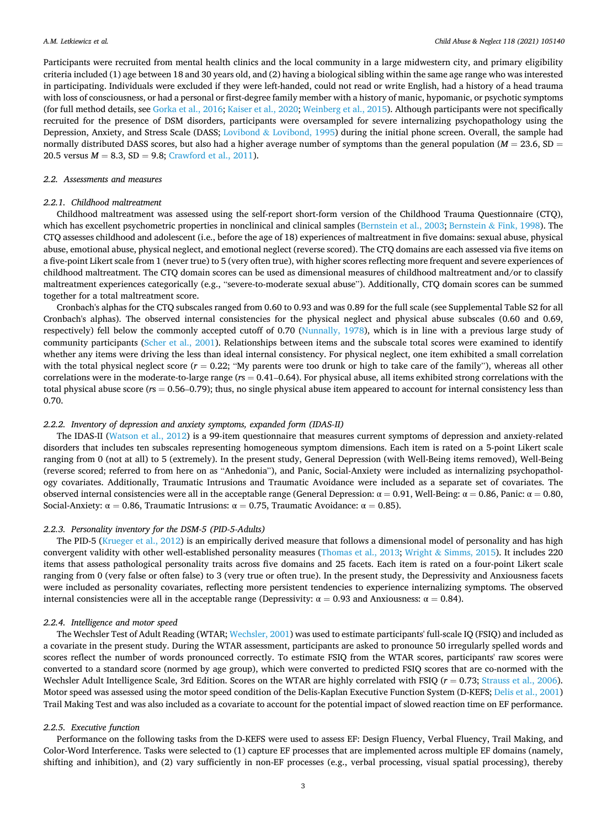Participants were recruited from mental health clinics and the local community in a large midwestern city, and primary eligibility criteria included (1) age between 18 and 30 years old, and (2) having a biological sibling within the same age range who was interested in participating. Individuals were excluded if they were left-handed, could not read or write English, had a history of a head trauma with loss of consciousness, or had a personal or first-degree family member with a history of manic, hypomanic, or psychotic symptoms (for full method details, see [Gorka et al., 2016](#page-9-0); [Kaiser et al., 2020;](#page-9-0) [Weinberg et al., 2015](#page-10-0)). Although participants were not specifically recruited for the presence of DSM disorders, participants were oversampled for severe internalizing psychopathology using the Depression, Anxiety, and Stress Scale (DASS; Lovibond & [Lovibond, 1995](#page-9-0)) during the initial phone screen. Overall, the sample had normally distributed DASS scores, but also had a higher average number of symptoms than the general population ( $M = 23.6$ , SD = 20.5 versus  $M = 8.3$ ,  $SD = 9.8$ ; [Crawford et al., 2011](#page-9-0)).

## *2.2. Assessments and measures*

## *2.2.1. Childhood maltreatment*

Childhood maltreatment was assessed using the self-report short-form version of the Childhood Trauma Questionnaire (CTQ), which has excellent psychometric properties in nonclinical and clinical samples ([Bernstein et al., 2003;](#page-8-0) Bernstein & [Fink, 1998\)](#page-8-0). The CTQ assesses childhood and adolescent (i.e., before the age of 18) experiences of maltreatment in five domains: sexual abuse, physical abuse, emotional abuse, physical neglect, and emotional neglect (reverse scored). The CTQ domains are each assessed via five items on a five-point Likert scale from 1 (never true) to 5 (very often true), with higher scores reflecting more frequent and severe experiences of childhood maltreatment. The CTQ domain scores can be used as dimensional measures of childhood maltreatment and/or to classify maltreatment experiences categorically (e.g., "severe-to-moderate sexual abuse"). Additionally, CTQ domain scores can be summed together for a total maltreatment score.

Cronbach's alphas for the CTQ subscales ranged from 0.60 to 0.93 and was 0.89 for the full scale (see Supplemental Table S2 for all Cronbach's alphas). The observed internal consistencies for the physical neglect and physical abuse subscales (0.60 and 0.69, respectively) fell below the commonly accepted cutoff of 0.70 ([Nunnally, 1978\)](#page-10-0), which is in line with a previous large study of community participants [\(Scher et al., 2001](#page-10-0)). Relationships between items and the subscale total scores were examined to identify whether any items were driving the less than ideal internal consistency. For physical neglect, one item exhibited a small correlation with the total physical neglect score  $(r = 0.22)$ ; "My parents were too drunk or high to take care of the family"), whereas all other correlations were in the moderate-to-large range (*r*s = 0.41–0.64). For physical abuse, all items exhibited strong correlations with the total physical abuse score (*r*s = 0.56–0.79); thus, no single physical abuse item appeared to account for internal consistency less than 0.70.

#### *2.2.2. Inventory of depression and anxiety symptoms, expanded form (IDAS-II)*

The IDAS-II ([Watson et al., 2012](#page-10-0)) is a 99-item questionnaire that measures current symptoms of depression and anxiety-related disorders that includes ten subscales representing homogeneous symptom dimensions. Each item is rated on a 5-point Likert scale ranging from 0 (not at all) to 5 (extremely). In the present study, General Depression (with Well-Being items removed), Well-Being (reverse scored; referred to from here on as "Anhedonia"), and Panic, Social-Anxiety were included as internalizing psychopathology covariates. Additionally, Traumatic Intrusions and Traumatic Avoidance were included as a separate set of covariates. The observed internal consistencies were all in the acceptable range (General Depression: α = 0.91, Well-Being: α = 0.86, Panic: α = 0.80, Social-Anxiety:  $\alpha = 0.86$ , Traumatic Intrusions:  $\alpha = 0.75$ , Traumatic Avoidance:  $\alpha = 0.85$ ).

### *2.2.3. Personality inventory for the DSM-5 (PID-5-Adults)*

The PID-5 ([Krueger et al., 2012](#page-9-0)) is an empirically derived measure that follows a dimensional model of personality and has high convergent validity with other well-established personality measures [\(Thomas et al., 2013;](#page-10-0) Wright & [Simms, 2015\)](#page-10-0). It includes 220 items that assess pathological personality traits across five domains and 25 facets. Each item is rated on a four-point Likert scale ranging from 0 (very false or often false) to 3 (very true or often true). In the present study, the Depressivity and Anxiousness facets were included as personality covariates, reflecting more persistent tendencies to experience internalizing symptoms. The observed internal consistencies were all in the acceptable range (Depressivity:  $\alpha = 0.93$  and Anxiousness:  $\alpha = 0.84$ ).

## *2.2.4. Intelligence and motor speed*

The Wechsler Test of Adult Reading (WTAR; [Wechsler, 2001](#page-10-0)) was used to estimate participants' full-scale IQ (FSIQ) and included as a covariate in the present study. During the WTAR assessment, participants are asked to pronounce 50 irregularly spelled words and scores reflect the number of words pronounced correctly. To estimate FSIQ from the WTAR scores, participants' raw scores were converted to a standard score (normed by age group), which were converted to predicted FSIQ scores that are co-normed with the Wechsler Adult Intelligence Scale, 3rd Edition. Scores on the WTAR are highly correlated with FSIQ ( $r = 0.73$ ; [Strauss et al., 2006](#page-10-0)). Motor speed was assessed using the motor speed condition of the Delis-Kaplan Executive Function System (D-KEFS; [Delis et al., 2001](#page-9-0)) Trail Making Test and was also included as a covariate to account for the potential impact of slowed reaction time on EF performance.

#### *2.2.5. Executive function*

Performance on the following tasks from the D-KEFS were used to assess EF: Design Fluency, Verbal Fluency, Trail Making, and Color-Word Interference. Tasks were selected to (1) capture EF processes that are implemented across multiple EF domains (namely, shifting and inhibition), and (2) vary sufficiently in non-EF processes (e.g., verbal processing, visual spatial processing), thereby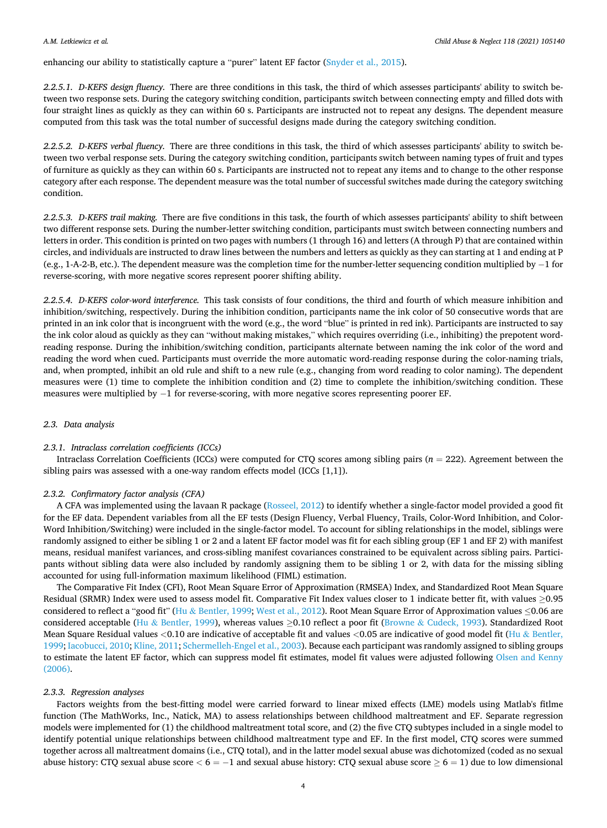#### *A.M. Letkiewicz et al.*

enhancing our ability to statistically capture a "purer" latent EF factor ([Snyder et al., 2015\)](#page-10-0).

*2.2.5.1. D-KEFS design fluency.* There are three conditions in this task, the third of which assesses participants' ability to switch between two response sets. During the category switching condition, participants switch between connecting empty and filled dots with four straight lines as quickly as they can within 60 s. Participants are instructed not to repeat any designs. The dependent measure computed from this task was the total number of successful designs made during the category switching condition.

*2.2.5.2. D-KEFS verbal fluency.* There are three conditions in this task, the third of which assesses participants' ability to switch between two verbal response sets. During the category switching condition, participants switch between naming types of fruit and types of furniture as quickly as they can within 60 s. Participants are instructed not to repeat any items and to change to the other response category after each response. The dependent measure was the total number of successful switches made during the category switching condition.

*2.2.5.3. D-KEFS trail making.* There are five conditions in this task, the fourth of which assesses participants' ability to shift between two different response sets. During the number-letter switching condition, participants must switch between connecting numbers and letters in order. This condition is printed on two pages with numbers (1 through 16) and letters (A through P) that are contained within circles, and individuals are instructed to draw lines between the numbers and letters as quickly as they can starting at 1 and ending at P (e.g., 1-A-2-B, etc.). The dependent measure was the completion time for the number-letter sequencing condition multiplied by − 1 for reverse-scoring, with more negative scores represent poorer shifting ability.

*2.2.5.4. D-KEFS color-word interference.* This task consists of four conditions, the third and fourth of which measure inhibition and inhibition/switching, respectively. During the inhibition condition, participants name the ink color of 50 consecutive words that are printed in an ink color that is incongruent with the word (e.g., the word "blue" is printed in red ink). Participants are instructed to say the ink color aloud as quickly as they can "without making mistakes," which requires overriding (i.e., inhibiting) the prepotent wordreading response. During the inhibition/switching condition, participants alternate between naming the ink color of the word and reading the word when cued. Participants must override the more automatic word-reading response during the color-naming trials, and, when prompted, inhibit an old rule and shift to a new rule (e.g., changing from word reading to color naming). The dependent measures were (1) time to complete the inhibition condition and (2) time to complete the inhibition/switching condition. These measures were multiplied by −1 for reverse-scoring, with more negative scores representing poorer EF.

## *2.3. Data analysis*

## *2.3.1. Intraclass correlation coefficients (ICCs)*

Intraclass Correlation Coefficients (ICCs) were computed for CTQ scores among sibling pairs (*n* = 222). Agreement between the sibling pairs was assessed with a one-way random effects model (ICCs [1,1]).

## *2.3.2. Confirmatory factor analysis (CFA)*

A CFA was implemented using the lavaan R package ([Rosseel, 2012\)](#page-10-0) to identify whether a single-factor model provided a good fit for the EF data. Dependent variables from all the EF tests (Design Fluency, Verbal Fluency, Trails, Color-Word Inhibition, and Color-Word Inhibition/Switching) were included in the single-factor model. To account for sibling relationships in the model, siblings were randomly assigned to either be sibling 1 or 2 and a latent EF factor model was fit for each sibling group (EF 1 and EF 2) with manifest means, residual manifest variances, and cross-sibling manifest covariances constrained to be equivalent across sibling pairs. Participants without sibling data were also included by randomly assigning them to be sibling 1 or 2, with data for the missing sibling accounted for using full-information maximum likelihood (FIML) estimation.

The Comparative Fit Index (CFI), Root Mean Square Error of Approximation (RMSEA) Index, and Standardized Root Mean Square Residual (SRMR) Index were used to assess model fit. Comparative Fit Index values closer to 1 indicate better fit, with values ≥0.95 considered to reflect a "good fit" (Hu & [Bentler, 1999;](#page-9-0) [West et al., 2012\)](#page-10-0). Root Mean Square Error of Approximation values ≤0.06 are considered acceptable (Hu & [Bentler, 1999\)](#page-9-0), whereas values  $\geq$ 0.10 reflect a poor fit (Browne & [Cudeck, 1993](#page-9-0)). Standardized Root Mean Square Residual values *<*0.10 are indicative of acceptable fit and values *<*0.05 are indicative of good model fit (Hu & [Bentler,](#page-9-0) [1999; Iacobucci, 2010](#page-9-0); [Kline, 2011](#page-9-0); [Schermelleh-Engel et al., 2003](#page-10-0)). Because each participant was randomly assigned to sibling groups to estimate the latent EF factor, which can suppress model fit estimates, model fit values were adjusted following [Olsen and Kenny](#page-10-0) [\(2006\).](#page-10-0)

## *2.3.3. Regression analyses*

Factors weights from the best-fitting model were carried forward to linear mixed effects (LME) models using Matlab's fitlme function (The MathWorks, Inc., Natick, MA) to assess relationships between childhood maltreatment and EF. Separate regression models were implemented for (1) the childhood maltreatment total score, and (2) the five CTQ subtypes included in a single model to identify potential unique relationships between childhood maltreatment type and EF. In the first model, CTQ scores were summed together across all maltreatment domains (i.e., CTQ total), and in the latter model sexual abuse was dichotomized (coded as no sexual abuse history: CTQ sexual abuse score *<* 6 = − 1 and sexual abuse history: CTQ sexual abuse score ≥ 6 = 1) due to low dimensional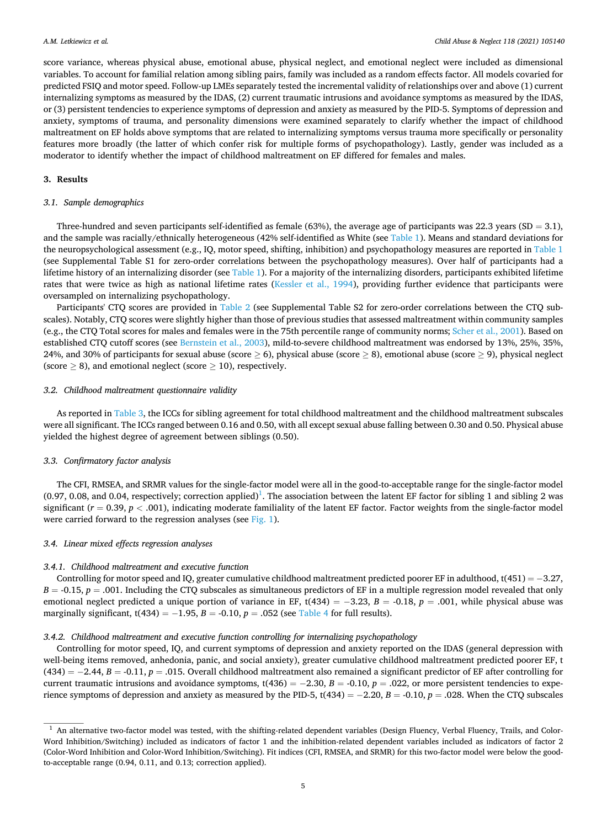score variance, whereas physical abuse, emotional abuse, physical neglect, and emotional neglect were included as dimensional variables. To account for familial relation among sibling pairs, family was included as a random effects factor. All models covaried for predicted FSIQ and motor speed. Follow-up LMEs separately tested the incremental validity of relationships over and above (1) current internalizing symptoms as measured by the IDAS, (2) current traumatic intrusions and avoidance symptoms as measured by the IDAS, or (3) persistent tendencies to experience symptoms of depression and anxiety as measured by the PID-5. Symptoms of depression and anxiety, symptoms of trauma, and personality dimensions were examined separately to clarify whether the impact of childhood maltreatment on EF holds above symptoms that are related to internalizing symptoms versus trauma more specifically or personality features more broadly (the latter of which confer risk for multiple forms of psychopathology). Lastly, gender was included as a moderator to identify whether the impact of childhood maltreatment on EF differed for females and males.

## **3. Results**

## *3.1. Sample demographics*

Three-hundred and seven participants self-identified as female (63%), the average age of participants was 22.3 years (SD = 3.1), and the sample was racially/ethnically heterogeneous (42% self-identified as White (see [Table 1\)](#page-5-0). Means and standard deviations for the neuropsychological assessment (e.g., IQ, motor speed, shifting, inhibition) and psychopathology measures are reported in [Table 1](#page-5-0) (see Supplemental Table S1 for zero-order correlations between the psychopathology measures). Over half of participants had a lifetime history of an internalizing disorder (see [Table 1](#page-5-0)). For a majority of the internalizing disorders, participants exhibited lifetime rates that were twice as high as national lifetime rates [\(Kessler et al., 1994\)](#page-9-0), providing further evidence that participants were oversampled on internalizing psychopathology.

Participants' CTQ scores are provided in [Table 2](#page-6-0) (see Supplemental Table S2 for zero-order correlations between the CTQ subscales). Notably, CTQ scores were slightly higher than those of previous studies that assessed maltreatment within community samples (e.g., the CTQ Total scores for males and females were in the 75th percentile range of community norms; [Scher et al., 2001\)](#page-10-0). Based on established CTQ cutoff scores (see [Bernstein et al., 2003](#page-8-0)), mild-to-severe childhood maltreatment was endorsed by 13%, 25%, 35%, 24%, and 30% of participants for sexual abuse (score  $\geq$  6), physical abuse (score  $\geq$  8), emotional abuse (score  $\geq$  9), physical neglect (score  $\geq$  8), and emotional neglect (score  $\geq$  10), respectively.

#### *3.2. Childhood maltreatment questionnaire validity*

As reported in [Table 3,](#page-6-0) the ICCs for sibling agreement for total childhood maltreatment and the childhood maltreatment subscales were all significant. The ICCs ranged between 0.16 and 0.50, with all except sexual abuse falling between 0.30 and 0.50. Physical abuse yielded the highest degree of agreement between siblings (0.50).

## *3.3. Confirmatory factor analysis*

The CFI, RMSEA, and SRMR values for the single-factor model were all in the good-to-acceptable range for the single-factor model (0.97, 0.08, and 0.04, respectively; correction applied)<sup>1</sup>. The association between the latent EF factor for sibling 1 and sibling 2 was significant  $(r = 0.39, p < .001)$ , indicating moderate familiality of the latent EF factor. Factor weights from the single-factor model were carried forward to the regression analyses (see [Fig. 1\)](#page-6-0).

## *3.4. Linear mixed effects regression analyses*

#### *3.4.1. Childhood maltreatment and executive function*

Controlling for motor speed and IQ, greater cumulative childhood maltreatment predicted poorer EF in adulthood, t(451) =  $-3.27$ ,  $B = -0.15$ ,  $p = .001$ . Including the CTQ subscales as simultaneous predictors of EF in a multiple regression model revealed that only emotional neglect predicted a unique portion of variance in EF, t(434) = − 3.23, *B* = -0.18, *p* = .001, while physical abuse was marginally significant,  $t(434) = -1.95$ ,  $B = -0.10$ ,  $p = .052$  (see [Table 4](#page-7-0) for full results).

## *3.4.2. Childhood maltreatment and executive function controlling for internalizing psychopathology*

Controlling for motor speed, IQ, and current symptoms of depression and anxiety reported on the IDAS (general depression with well-being items removed, anhedonia, panic, and social anxiety), greater cumulative childhood maltreatment predicted poorer EF, t (434) = − 2.44, *B* = -0.11, *p* = .015. Overall childhood maltreatment also remained a significant predictor of EF after controlling for current traumatic intrusions and avoidance symptoms, t(436) = − 2.30, *B* = -0.10, *p* = .022, or more persistent tendencies to experience symptoms of depression and anxiety as measured by the PID-5, t(434) = − 2.20, *B* = -0.10, *p* = .028. When the CTQ subscales

<sup>&</sup>lt;sup>1</sup> An alternative two-factor model was tested, with the shifting-related dependent variables (Design Fluency, Verbal Fluency, Trails, and Color-Word Inhibition/Switching) included as indicators of factor 1 and the inhibition-related dependent variables included as indicators of factor 2 (Color-Word Inhibition and Color-Word Inhibition/Switching). Fit indices (CFI, RMSEA, and SRMR) for this two-factor model were below the goodto-acceptable range (0.94, 0.11, and 0.13; correction applied).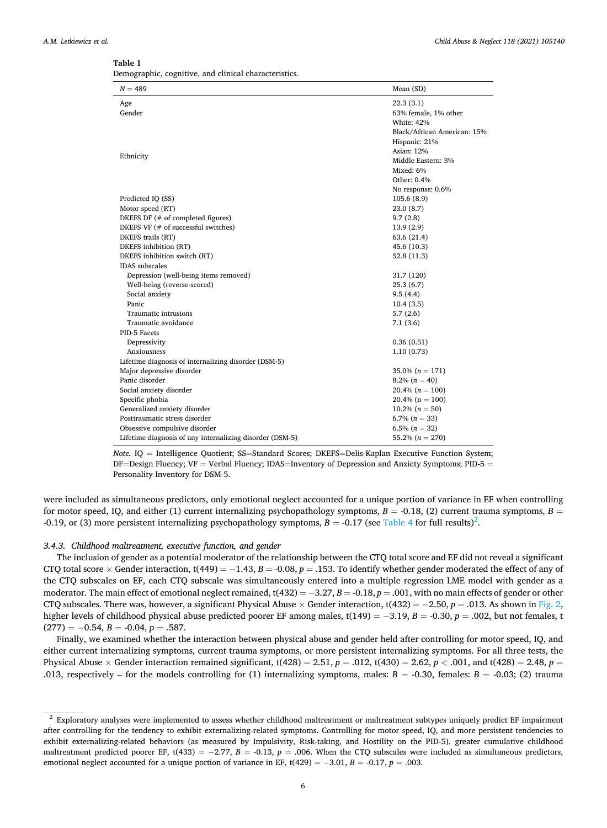<span id="page-5-0"></span>

| an<br>ıc |
|----------|
|----------|

|  |  |  |  | Demographic, cognitive, and clinical characteristics. |
|--|--|--|--|-------------------------------------------------------|
|--|--|--|--|-------------------------------------------------------|

| $N = 489$                                                | Mean (SD)                   |
|----------------------------------------------------------|-----------------------------|
| Age                                                      | 22.3(3.1)                   |
| Gender                                                   | 63% female, 1% other        |
|                                                          | <b>White: 42%</b>           |
|                                                          | Black/African American: 15% |
|                                                          | Hispanic: 21%               |
| Ethnicity                                                | Asian: 12%                  |
|                                                          | Middle Eastern: 3%          |
|                                                          | Mixed: 6%                   |
|                                                          | Other: 0.4%                 |
|                                                          | No response: 0.6%           |
| Predicted IQ (SS)                                        | 105.6(8.9)                  |
| Motor speed (RT)                                         | 23.0(8.7)                   |
| DKEFS DF (# of completed figures)                        | 9.7(2.8)                    |
| DKEFS VF (# of successful switches)                      | 13.9(2.9)                   |
| DKEFS trails (RT)                                        | 63.6 (21.4)                 |
| DKEFS inhibition (RT)                                    | 45.6 (10.3)                 |
| DKEFS inhibition switch (RT)                             | 52.8(11.3)                  |
| <b>IDAS</b> subscales                                    |                             |
| Depression (well-being items removed)                    | 31.7 (120)                  |
| Well-being (reverse-scored)                              | 25.3(6.7)                   |
| Social anxiety                                           | 9.5(4.4)                    |
| Panic                                                    | 10.4(3.5)                   |
| Traumatic intrusions                                     | 5.7(2.6)                    |
| Traumatic avoidance                                      | 7.1(3.6)                    |
| PID-5 Facets                                             |                             |
| Depressivity                                             | 0.36(0.51)                  |
| Anxiousness                                              | 1.10(0.73)                  |
| Lifetime diagnosis of internalizing disorder (DSM-5)     |                             |
| Major depressive disorder                                | $35.0\% (n = 171)$          |
| Panic disorder                                           | $8.2\% (n = 40)$            |
| Social anxiety disorder                                  | $20.4\% (n = 100)$          |
| Specific phobia                                          | $20.4\%$ (n = 100)          |
| Generalized anxiety disorder                             | $10.2\% (n = 50)$           |
| Posttraumatic stress disorder                            | $6.7\%$ $(n = 33)$          |
| Obsessive compulsive disorder                            | $6.5\% (n = 32)$            |
| Lifetime diagnosis of any internalizing disorder (DSM-5) | 55.2% $(n = 270)$           |

*Note.* **IQ** = Intelligence Quotient; SS=Standard Scores; DKEFS=Delis-Kaplan Executive Function System; DF $=$ Design Fluency; VF  $=$  Verbal Fluency; IDAS $=$ Inventory of Depression and Anxiety Symptoms; PID-5  $=$ Personality Inventory for DSM-5.

were included as simultaneous predictors, only emotional neglect accounted for a unique portion of variance in EF when controlling for motor speed, IQ, and either (1) current internalizing psychopathology symptoms,  $B = -0.18$ , (2) current trauma symptoms,  $B = -0.18$ -0.19, or (3) more persistent internalizing psychopathology symptoms,  $B = -0.17$  (see [Table 4](#page-7-0) for full results)<sup>2</sup>.

#### *3.4.3. Childhood maltreatment, executive function, and gender*

The inclusion of gender as a potential moderator of the relationship between the CTQ total score and EF did not reveal a significant CTQ total score × Gender interaction, t(449) = − 1.43, *B* = -0.08, *p* = .153. To identify whether gender moderated the effect of any of the CTQ subscales on EF, each CTQ subscale was simultaneously entered into a multiple regression LME model with gender as a moderator. The main effect of emotional neglect remained, t(432) = − 3.27, *B* = -0.18, *p* = .001, with no main effects of gender or other CTQ subscales. There was, however, a significant Physical Abuse  $\times$  Gender interaction, t(432) = -2.50, *p* = .013. As shown in [Fig. 2](#page-7-0), higher levels of childhood physical abuse predicted poorer EF among males, t(149) = − 3.19, *B* = -0.30, *p* = .002, but not females, t  $(277) = -0.54, B = -0.04, p = .587.$ 

Finally, we examined whether the interaction between physical abuse and gender held after controlling for motor speed, IQ, and either current internalizing symptoms, current trauma symptoms, or more persistent internalizing symptoms. For all three tests, the Physical Abuse  $\times$  Gender interaction remained significant, t(428) = 2.51, *p* = .012, t(430) = 2.62, *p* < .001, and t(428) = 2.48, *p* = .013, respectively – for the models controlling for (1) internalizing symptoms, males: *B* = -0.30, females: *B* = -0.03; (2) trauma

<sup>2</sup> Exploratory analyses were implemented to assess whether childhood maltreatment or maltreatment subtypes uniquely predict EF impairment after controlling for the tendency to exhibit externalizing-related symptoms. Controlling for motor speed, IQ, and more persistent tendencies to exhibit externalizing-related behaviors (as measured by Impulsivity, Risk-taking, and Hostility on the PID-5), greater cumulative childhood maltreatment predicted poorer EF, t(433) = − 2.77, *B* = -0.13, *p* = .006. When the CTQ subscales were included as simultaneous predictors, emotional neglect accounted for a unique portion of variance in EF, t(429) = − 3.01, *B* = -0.17, *p* = .003.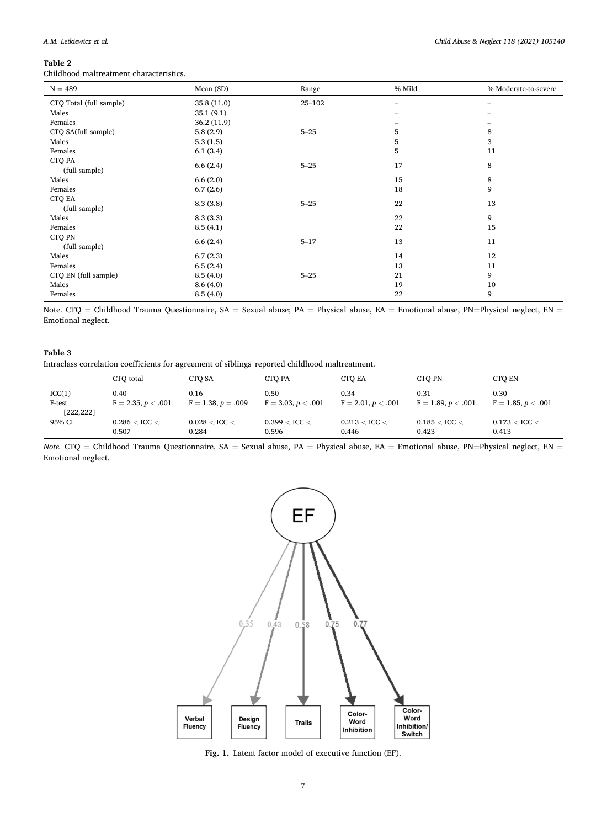## <span id="page-6-0"></span>**Table 2**

l,

Childhood maltreatment characteristics.

| $N = 489$               | Mean (SD)   | Range      | % Mild | % Moderate-to-severe |
|-------------------------|-------------|------------|--------|----------------------|
| CTQ Total (full sample) | 35.8 (11.0) | $25 - 102$ |        |                      |
| Males                   | 35.1(9.1)   |            |        |                      |
| Females                 | 36.2 (11.9) |            |        |                      |
| CTQ SA(full sample)     | 5.8(2.9)    | $5 - 25$   | 5      | 8                    |
| Males                   | 5.3(1.5)    |            | 5      | 3                    |
| Females                 | 6.1(3.4)    |            | 5      | 11                   |
| CTQ PA<br>(full sample) | 6.6(2.4)    | $5 - 25$   | 17     | 8                    |
| Males                   | 6.6(2.0)    |            | 15     | 8                    |
| Females                 | 6.7(2.6)    |            | 18     | 9                    |
| CTQ EA<br>(full sample) | 8.3(3.8)    | $5 - 25$   | 22     | 13                   |
| Males                   | 8.3(3.3)    |            | 22     | 9                    |
| Females                 | 8.5(4.1)    |            | 22     | 15                   |
| CTQ PN<br>(full sample) | 6.6(2.4)    | $5 - 17$   | 13     | 11                   |
| Males                   | 6.7(2.3)    |            | 14     | 12                   |
| Females                 | 6.5(2.4)    |            | 13     | 11                   |
| CTQ EN (full sample)    | 8.5(4.0)    | $5 - 25$   | 21     | 9                    |
| Males                   | 8.6(4.0)    |            | 19     | 10                   |
| Females                 | 8.5(4.0)    |            | 22     | 9                    |

Note. CTQ = Childhood Trauma Questionnaire, SA = Sexual abuse; PA = Physical abuse, EA = Emotional abuse, PN=Physical neglect, EN = Emotional neglect.

## **Table 3**

Intraclass correlation coefficients for agreement of siblings' reported childhood maltreatment.

|            | CTO total            | CTO SA               | CTO PA               | CTO EA               | CTO PN               | CTO EN               |
|------------|----------------------|----------------------|----------------------|----------------------|----------------------|----------------------|
| ICC(1)     | 0.40                 | 0.16                 | 0.50                 | 0.34                 | 0.31                 | 0.30                 |
| F-test     | $F = 2.35, p < .001$ | $F = 1.38, p = .009$ | $F = 3.03, p < .001$ | $F = 2.01, p < .001$ | $F = 1.89, p < .001$ | $F = 1.85, p < .001$ |
| [222, 222] | $0.286 <$ ICC $<$    | $0.028 <$ ICC $<$    | $0.399 <$ ICC $<$    | $0.213 <$ ICC $<$    | $0.185 <$ ICC $<$    | $0.173 <$ ICC $<$    |
| 95% CI     | 0.507                | 0.284                | 0.596                | 0.446                | 0.423                | 0.413                |

*Note.* CTQ = Childhood Trauma Questionnaire, SA = Sexual abuse, PA = Physical abuse, EA = Emotional abuse, PN=Physical neglect, EN = Emotional neglect.



**Fig. 1.** Latent factor model of executive function (EF).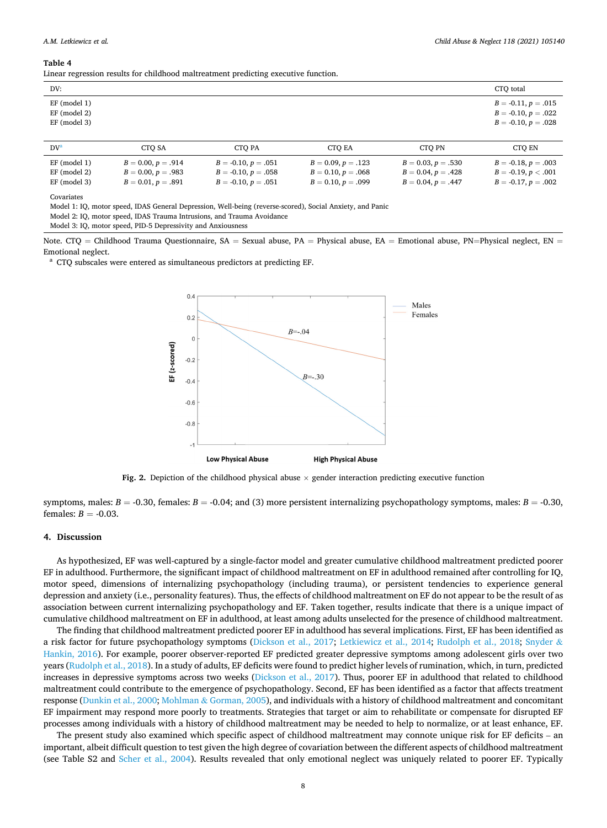#### <span id="page-7-0"></span>**Table 4**

Linear regression results for childhood maltreatment predicting executive function.

| DV:                                           |                      |                       |                      |                      | CTO total                                                               |
|-----------------------------------------------|----------------------|-----------------------|----------------------|----------------------|-------------------------------------------------------------------------|
| EF (model 1)<br>$EF \pmod{2}$<br>EF (model 3) |                      |                       |                      |                      | $B = -0.11, p = .015$<br>$B = -0.10, p = .022$<br>$B = -0.10, p = .028$ |
| $DV^a$                                        | CTO SA               | CTO PA                | CTO EA               | CTO PN               | CTO EN                                                                  |
| EF (model 1)                                  | $B = 0.00, p = .914$ | $B = -0.10, p = .051$ | $B = 0.09, p = .123$ | $B = 0.03, p = .530$ | $B = -0.18, p = .003$                                                   |

EF (model 2)  $B = 0.00, p = .983$   $B = -0.10, p = .058$   $B = 0.10, p = .068$   $B = 0.04, p = .428$   $B = -0.19, p < .001$ EF (model 3)  $B = 0.01$ ,  $p = .891$   $B = -0.10$ ,  $p = .051$   $B = 0.10$ ,  $p = .099$   $B = 0.04$ ,  $p = .447$   $B = -0.17$ ,  $p = .002$ 

Covariates

Model 1: IQ, motor speed, IDAS General Depression, Well-being (reverse-scored), Social Anxiety, and Panic

Model 2: IQ, motor speed, IDAS Trauma Intrusions, and Trauma Avoidance

Model 3: IQ, motor speed, PID-5 Depressivity and Anxiousness

Note. CTQ = Childhood Trauma Questionnaire, SA = Sexual abuse, PA = Physical abuse, EA = Emotional abuse, PN=Physical neglect, EN = Emotional neglect.<br><sup>a</sup> CTO subscales were entered as simultaneous predictors at predicting EF.



**Fig. 2.** Depiction of the childhood physical abuse × gender interaction predicting executive function

symptoms, males:  $B = -0.30$ , females:  $B = -0.04$ ; and (3) more persistent internalizing psychopathology symptoms, males:  $B = -0.30$ , females:  $B = -0.03$ .

#### **4. Discussion**

As hypothesized, EF was well-captured by a single-factor model and greater cumulative childhood maltreatment predicted poorer EF in adulthood. Furthermore, the significant impact of childhood maltreatment on EF in adulthood remained after controlling for IQ, motor speed, dimensions of internalizing psychopathology (including trauma), or persistent tendencies to experience general depression and anxiety (i.e., personality features). Thus, the effects of childhood maltreatment on EF do not appear to be the result of as association between current internalizing psychopathology and EF. Taken together, results indicate that there is a unique impact of cumulative childhood maltreatment on EF in adulthood, at least among adults unselected for the presence of childhood maltreatment.

The finding that childhood maltreatment predicted poorer EF in adulthood has several implications. First, EF has been identified as a risk factor for future psychopathology symptoms [\(Dickson et al., 2017;](#page-9-0) [Letkiewicz et al., 2014;](#page-9-0) [Rudolph et al., 2018](#page-10-0); [Snyder](#page-10-0) & [Hankin, 2016\)](#page-10-0). For example, poorer observer-reported EF predicted greater depressive symptoms among adolescent girls over two years [\(Rudolph et al., 2018](#page-10-0)). In a study of adults, EF deficits were found to predict higher levels of rumination, which, in turn, predicted increases in depressive symptoms across two weeks ([Dickson et al., 2017](#page-9-0)). Thus, poorer EF in adulthood that related to childhood maltreatment could contribute to the emergence of psychopathology. Second, EF has been identified as a factor that affects treatment response [\(Dunkin et al., 2000;](#page-9-0) Mohlman & [Gorman, 2005\)](#page-10-0), and individuals with a history of childhood maltreatment and concomitant EF impairment may respond more poorly to treatments. Strategies that target or aim to rehabilitate or compensate for disrupted EF processes among individuals with a history of childhood maltreatment may be needed to help to normalize, or at least enhance, EF.

The present study also examined which specific aspect of childhood maltreatment may connote unique risk for EF deficits – an important, albeit difficult question to test given the high degree of covariation between the different aspects of childhood maltreatment (see Table S2 and [Scher et al., 2004](#page-10-0)). Results revealed that only emotional neglect was uniquely related to poorer EF. Typically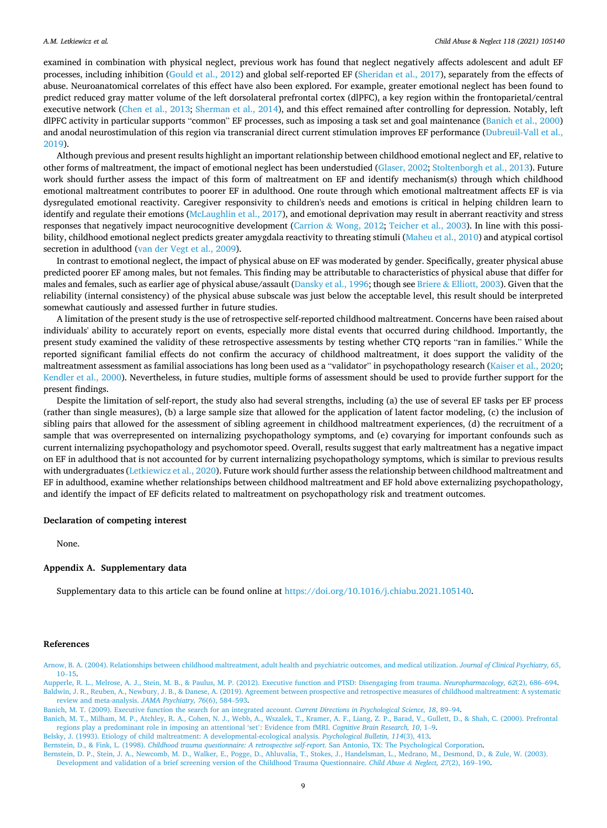<span id="page-8-0"></span>examined in combination with physical neglect, previous work has found that neglect negatively affects adolescent and adult EF processes, including inhibition ([Gould et al., 2012\)](#page-9-0) and global self-reported EF [\(Sheridan et al., 2017](#page-10-0)), separately from the effects of abuse. Neuroanatomical correlates of this effect have also been explored. For example, greater emotional neglect has been found to predict reduced gray matter volume of the left dorsolateral prefrontal cortex (dlPFC), a key region within the frontoparietal/central executive network ([Chen et al., 2013;](#page-9-0) [Sherman et al., 2014\)](#page-10-0), and this effect remained after controlling for depression. Notably, left dlPFC activity in particular supports "common" EF processes, such as imposing a task set and goal maintenance (Banich et al., 2000) and anodal neurostimulation of this region via transcranial direct current stimulation improves EF performance ([Dubreuil-Vall et al.,](#page-9-0) [2019\)](#page-9-0).

Although previous and present results highlight an important relationship between childhood emotional neglect and EF, relative to other forms of maltreatment, the impact of emotional neglect has been understudied [\(Glaser, 2002;](#page-9-0) [Stoltenborgh et al., 2013\)](#page-10-0). Future work should further assess the impact of this form of maltreatment on EF and identify mechanism(s) through which childhood emotional maltreatment contributes to poorer EF in adulthood. One route through which emotional maltreatment affects EF is via dysregulated emotional reactivity. Caregiver responsivity to children's needs and emotions is critical in helping children learn to identify and regulate their emotions [\(McLaughlin et al., 2017](#page-9-0)), and emotional deprivation may result in aberrant reactivity and stress responses that negatively impact neurocognitive development (Carrion & [Wong, 2012](#page-9-0); [Teicher et al., 2003](#page-10-0)). In line with this possi-bility, childhood emotional neglect predicts greater amygdala reactivity to threating stimuli [\(Maheu et al., 2010](#page-9-0)) and atypical cortisol secretion in adulthood ([van der Vegt et al., 2009\)](#page-10-0).

In contrast to emotional neglect, the impact of physical abuse on EF was moderated by gender. Specifically, greater physical abuse predicted poorer EF among males, but not females. This finding may be attributable to characteristics of physical abuse that differ for males and females, such as earlier age of physical abuse/assault [\(Dansky et al., 1996;](#page-9-0) though see Briere & [Elliott, 2003\)](#page-9-0). Given that the reliability (internal consistency) of the physical abuse subscale was just below the acceptable level, this result should be interpreted somewhat cautiously and assessed further in future studies.

A limitation of the present study is the use of retrospective self-reported childhood maltreatment. Concerns have been raised about individuals' ability to accurately report on events, especially more distal events that occurred during childhood. Importantly, the present study examined the validity of these retrospective assessments by testing whether CTQ reports "ran in families." While the reported significant familial effects do not confirm the accuracy of childhood maltreatment, it does support the validity of the maltreatment assessment as familial associations has long been used as a "validator" in psychopathology research ([Kaiser et al., 2020](#page-9-0); [Kendler et al., 2000\)](#page-9-0). Nevertheless, in future studies, multiple forms of assessment should be used to provide further support for the present findings.

Despite the limitation of self-report, the study also had several strengths, including (a) the use of several EF tasks per EF process (rather than single measures), (b) a large sample size that allowed for the application of latent factor modeling, (c) the inclusion of sibling pairs that allowed for the assessment of sibling agreement in childhood maltreatment experiences, (d) the recruitment of a sample that was overrepresented on internalizing psychopathology symptoms, and (e) covarying for important confounds such as current internalizing psychopathology and psychomotor speed. Overall, results suggest that early maltreatment has a negative impact on EF in adulthood that is not accounted for by current internalizing psychopathology symptoms, which is similar to previous results with undergraduates ([Letkiewicz et al., 2020\)](#page-9-0). Future work should further assess the relationship between childhood maltreatment and EF in adulthood, examine whether relationships between childhood maltreatment and EF hold above externalizing psychopathology, and identify the impact of EF deficits related to maltreatment on psychopathology risk and treatment outcomes.

#### **Declaration of competing interest**

None.

## **Appendix A. Supplementary data**

Supplementary data to this article can be found online at [https://doi.org/10.1016/j.chiabu.2021.105140.](https://doi.org/10.1016/j.chiabu.2021.105140)

#### **References**

[Belsky, J. \(1993\). Etiology of child maltreatment: A developmental-ecological analysis.](http://refhub.elsevier.com/S0145-2134(21)00213-1/rf0030) *Psychological Bulletin, 114*(3), 413.

Bernstein, D., & Fink, L. (1998). *[Childhood trauma questionnaire: A retrospective self-report](http://refhub.elsevier.com/S0145-2134(21)00213-1/rf0035)*. San Antonio, TX: The Psychological Corporation.

[Bernstein, D. P., Stein, J. A., Newcomb, M. D., Walker, E., Pogge, D., Ahluvalia, T., Stokes, J., Handelsman, L., Medrano, M., Desmond, D., & Zule, W. \(2003\).](http://refhub.elsevier.com/S0145-2134(21)00213-1/rf0040) 

[Arnow, B. A. \(2004\). Relationships between childhood maltreatment, adult health and psychiatric outcomes, and medical utilization.](http://refhub.elsevier.com/S0145-2134(21)00213-1/rf0005) *Journal of Clinical Psychiatry, 65*, [10](http://refhub.elsevier.com/S0145-2134(21)00213-1/rf0005)–15.

[Aupperle, R. L., Melrose, A. J., Stein, M. B., & Paulus, M. P. \(2012\). Executive function and PTSD: Disengaging from trauma.](http://refhub.elsevier.com/S0145-2134(21)00213-1/rf0010) *Neuropharmacology, 62*(2), 686–694. [Baldwin, J. R., Reuben, A., Newbury, J. B., & Danese, A. \(2019\). Agreement between prospective and retrospective measures of childhood maltreatment: A systematic](http://refhub.elsevier.com/S0145-2134(21)00213-1/rf0015) [review and meta-analysis.](http://refhub.elsevier.com/S0145-2134(21)00213-1/rf0015) *JAMA Psychiatry, 76*(6), 584–593.

[Banich, M. T. \(2009\). Executive function the search for an integrated account.](http://refhub.elsevier.com/S0145-2134(21)00213-1/rf0020) *Current Directions in Psychological Science, 18*, 89–94.

[Banich, M. T., Milham, M. P., Atchley, R. A., Cohen, N. J., Webb, A., Wszalek, T., Kramer, A. F., Liang, Z. P., Barad, V., Gullett, D., & Shah, C. \(2000\). Prefrontal](http://refhub.elsevier.com/S0145-2134(21)00213-1/rf0025) [regions play a predominant role in imposing an attentional 'set](http://refhub.elsevier.com/S0145-2134(21)00213-1/rf0025)': Evidence from fMRI. *Cognitive Brain Research, 10*, 1–9.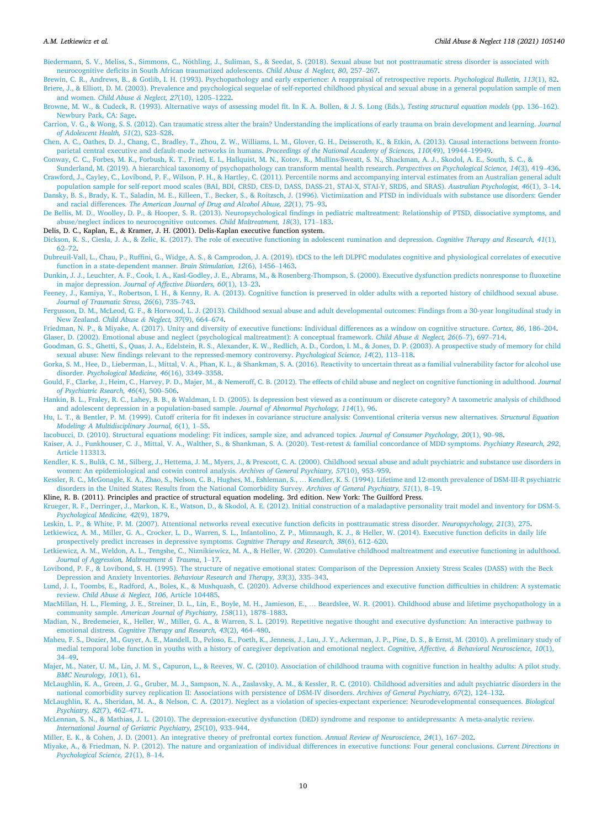<span id="page-9-0"></span>Biedermann, S. V., Meliss, S., Simmons, C., Nöthling, J., Suliman, S., & Seedat, S. (2018). Sexual abuse but not posttraumatic stress disorder is associated with [neurocognitive deficits in South African traumatized adolescents.](http://refhub.elsevier.com/S0145-2134(21)00213-1/rf0045) *Child Abuse & Neglect, 80*, 257–267.

[Brewin, C. R., Andrews, B., & Gotlib, I. H. \(1993\). Psychopathology and early experience: A reappraisal of retrospective reports.](http://refhub.elsevier.com/S0145-2134(21)00213-1/rf0050) *Psychological Bulletin, 113*(1), 82. [Briere, J., & Elliott, D. M. \(2003\). Prevalence and psychological sequelae of self-reported childhood physical and sexual abuse in a general population sample of men](http://refhub.elsevier.com/S0145-2134(21)00213-1/rf0055) [and women.](http://refhub.elsevier.com/S0145-2134(21)00213-1/rf0055) *Child Abuse & Neglect, 27*(10), 1205–1222.

[Browne, M. W., & Cudeck, R. \(1993\). Alternative ways of assessing model fit. In K. A. Bollen, & J. S. Long \(Eds.\),](http://refhub.elsevier.com/S0145-2134(21)00213-1/rf0060) *Testing structural equation models* (pp. 136–162). [Newbury Park, CA: Sage.](http://refhub.elsevier.com/S0145-2134(21)00213-1/rf0060)

[Carrion, V. G., & Wong, S. S. \(2012\). Can traumatic stress alter the brain? Understanding the implications of early trauma on brain development and learning.](http://refhub.elsevier.com/S0145-2134(21)00213-1/rf0065) *Journal [of Adolescent Health, 51](http://refhub.elsevier.com/S0145-2134(21)00213-1/rf0065)*(2), S23–S28.

[Chen, A. C., Oathes, D. J., Chang, C., Bradley, T., Zhou, Z. W., Williams, L. M., Glover, G. H., Deisseroth, K., & Etkin, A. \(2013\). Causal interactions between fronto](http://refhub.elsevier.com/S0145-2134(21)00213-1/rf0070)[parietal central executive and default-mode networks in humans.](http://refhub.elsevier.com/S0145-2134(21)00213-1/rf0070) *Proceedings of the National Academy of Sciences, 110*(49), 19944–19949.

[Conway, C. C., Forbes, M. K., Forbush, K. T., Fried, E. I., Hallquist, M. N., Kotov, R., Mullins-Sweatt, S. N., Shackman, A. J., Skodol, A. E., South, S. C., &](http://refhub.elsevier.com/S0145-2134(21)00213-1/rf0075)

[Sunderland, M. \(2019\). A hierarchical taxonomy of psychopathology can transform mental health research.](http://refhub.elsevier.com/S0145-2134(21)00213-1/rf0075) *Perspectives on Psychological Science, 14*(3), 419–436. [Crawford, J., Cayley, C., Lovibond, P. F., Wilson, P. H., & Hartley, C. \(2011\). Percentile norms and accompanying interval estimates from an Australian general adult](http://refhub.elsevier.com/S0145-2134(21)00213-1/rf0080) [population sample for self-report mood scales \(BAI, BDI, CRSD, CES-D, DASS, DASS-21, STAI-X, STAI-Y, SRDS, and SRAS\).](http://refhub.elsevier.com/S0145-2134(21)00213-1/rf0080) *Australian Psychologist, 46*(1), 3–14.

[Dansky, B. S., Brady, K. T., Saladin, M. E., Killeen, T., Becker, S., & Roitzsch, J. \(1996\). Victimization and PTSD in individuals with substance use disorders: Gender](http://refhub.elsevier.com/S0145-2134(21)00213-1/rf0085) and racial differences. *[The American Journal of Drug and Alcohol Abuse, 22](http://refhub.elsevier.com/S0145-2134(21)00213-1/rf0085)*(1), 75–93.

[De Bellis, M. D., Woolley, D. P., & Hooper, S. R. \(2013\). Neuropsychological findings in pediatric maltreatment: Relationship of PTSD, dissociative symptoms, and](http://refhub.elsevier.com/S0145-2134(21)00213-1/rf0090) [abuse/neglect indices to neurocognitive outcomes.](http://refhub.elsevier.com/S0145-2134(21)00213-1/rf0090) *Child Maltreatment, 18*(3), 171–183.

Delis, D. C., Kaplan, E., & Kramer, J. H. (2001). Delis-Kaplan executive function system.

[Dickson, K. S., Ciesla, J. A., & Zelic, K. \(2017\). The role of executive functioning in adolescent rumination and depression.](http://refhub.elsevier.com/S0145-2134(21)00213-1/rf0095) *Cognitive Therapy and Research, 41*(1), [62](http://refhub.elsevier.com/S0145-2134(21)00213-1/rf0095)–72.

[Dubreuil-Vall, L., Chau, P., Ruffini, G., Widge, A. S., & Camprodon, J. A. \(2019\). tDCS to the left DLPFC modulates cognitive and physiological correlates of executive](http://refhub.elsevier.com/S0145-2134(21)00213-1/rf0100) [function in a state-dependent manner.](http://refhub.elsevier.com/S0145-2134(21)00213-1/rf0100) *Brain Stimulation, 12*(6), 1456–1463.

[Dunkin, J. J., Leuchter, A. F., Cook, I. A., Kasl-Godley, J. E., Abrams, M., & Rosenberg-Thompson, S. \(2000\). Executive dysfunction predicts nonresponse to fluoxetine](http://refhub.elsevier.com/S0145-2134(21)00213-1/rf0105) in major depression. *[Journal of Affective Disorders, 60](http://refhub.elsevier.com/S0145-2134(21)00213-1/rf0105)*(1), 13–23.

[Feeney, J., Kamiya, Y., Robertson, I. H., & Kenny, R. A. \(2013\). Cognitive function is preserved in older adults with a reported history of childhood sexual abuse.](http://refhub.elsevier.com/S0145-2134(21)00213-1/rf0110) *[Journal of Traumatic Stress, 26](http://refhub.elsevier.com/S0145-2134(21)00213-1/rf0110)*(6), 735–743.

[Fergusson, D. M., McLeod, G. F., & Horwood, L. J. \(2013\). Childhood sexual abuse and adult developmental outcomes: Findings from a 30-year longitudinal study in](http://refhub.elsevier.com/S0145-2134(21)00213-1/rf0115) [New Zealand.](http://refhub.elsevier.com/S0145-2134(21)00213-1/rf0115) *Child Abuse & Neglect, 37*(9), 664–674.

[Friedman, N. P., & Miyake, A. \(2017\). Unity and diversity of executive functions: Individual differences as a window on cognitive structure.](http://refhub.elsevier.com/S0145-2134(21)00213-1/rf0120) *Cortex, 86*, 186–204. [Glaser, D. \(2002\). Emotional abuse and neglect \(psychological maltreatment\): A conceptual framework.](http://refhub.elsevier.com/S0145-2134(21)00213-1/rf0125) *Child Abuse & Neglect, 26*(6–7), 697–714.

[Goodman, G. S., Ghetti, S., Quas, J. A., Edelstein, R. S., Alexander, K. W., Redlich, A. D., Cordon, I. M., & Jones, D. P. \(2003\). A prospective study of memory for child](http://refhub.elsevier.com/S0145-2134(21)00213-1/rf0130) [sexual abuse: New findings relevant to the repressed-memory controversy.](http://refhub.elsevier.com/S0145-2134(21)00213-1/rf0130) *Psychological Science, 14*(2), 113–118.

[Gorka, S. M., Hee, D., Lieberman, L., Mittal, V. A., Phan, K. L., & Shankman, S. A. \(2016\). Reactivity to uncertain threat as a familial vulnerability factor for alcohol use](http://refhub.elsevier.com/S0145-2134(21)00213-1/rf0135) disorder. *[Psychological Medicine, 46](http://refhub.elsevier.com/S0145-2134(21)00213-1/rf0135)*(16), 3349–3358.

[Gould, F., Clarke, J., Heim, C., Harvey, P. D., Majer, M., & Nemeroff, C. B. \(2012\). The effects of child abuse and neglect on cognitive functioning in adulthood.](http://refhub.elsevier.com/S0145-2134(21)00213-1/rf0140) *Journal [of Psychiatric Rsearch, 46](http://refhub.elsevier.com/S0145-2134(21)00213-1/rf0140)*(4), 500–506.

[Hankin, B. L., Fraley, R. C., Lahey, B. B., & Waldman, I. D. \(2005\). Is depression best viewed as a continuum or discrete category? A taxometric analysis of childhood](http://refhub.elsevier.com/S0145-2134(21)00213-1/rf0145) [and adolescent depression in a population-based sample.](http://refhub.elsevier.com/S0145-2134(21)00213-1/rf0145) *Journal of Abnormal Psychology, 114*(1), 96.

[Hu, L. T., & Bentler, P. M. \(1999\). Cutoff criteria for fit indexes in covariance structure analysis: Conventional criteria versus new alternatives.](http://refhub.elsevier.com/S0145-2134(21)00213-1/rf0150) *Structural Equation [Modeling: A Multidisciplinary Journal, 6](http://refhub.elsevier.com/S0145-2134(21)00213-1/rf0150)*(1), 1–55.

[Iacobucci, D. \(2010\). Structural equations modeling: Fit indices, sample size, and advanced topics.](http://refhub.elsevier.com/S0145-2134(21)00213-1/rf0155) *Journal of Consumer Psychology, 20*(1), 90–98.

[Kaiser, A. J., Funkhouser, C. J., Mittal, V. A., Walther, S., & Shankman, S. A. \(2020\). Test-retest](http://refhub.elsevier.com/S0145-2134(21)00213-1/rf0160) & familial concordance of MDD symptoms. *Psychiatry Research, 292*, [Article 113313](http://refhub.elsevier.com/S0145-2134(21)00213-1/rf0160).

[Kendler, K. S., Bulik, C. M., Silberg, J., Hettema, J. M., Myers, J., & Prescott, C. A. \(2000\). Childhood sexual abuse and adult psychiatric and substance use disorders in](http://refhub.elsevier.com/S0145-2134(21)00213-1/rf0165) [women: An epidemiological and cotwin control analysis.](http://refhub.elsevier.com/S0145-2134(21)00213-1/rf0165) *Archives of General Psychiatry, 57*(10), 953–959.

[Kessler, R. C., McGonagle, K. A., Zhao, S., Nelson, C. B., Hughes, M., Eshleman, S.,](http://refhub.elsevier.com/S0145-2134(21)00213-1/rf5015) … Kendler, K. S. (1994). Lifetime and 12-month prevalence of DSM-III-R psychiatric [disorders in the United States: Results from the National Comorbidity Survey.](http://refhub.elsevier.com/S0145-2134(21)00213-1/rf5015) *Archives of General Psychiatry, 51*(1), 8–19.

Kline, R. B. (2011). Principles and practice of structural equation modeling. 3rd edition. New York: The Guilford Press.

[Krueger, R. F., Derringer, J., Markon, K. E., Watson, D., & Skodol, A. E. \(2012\). Initial construction of a maladaptive personality trait model and inventory for DSM-5.](http://refhub.elsevier.com/S0145-2134(21)00213-1/rf0170) *[Psychological Medicine, 42](http://refhub.elsevier.com/S0145-2134(21)00213-1/rf0170)*(9), 1879.

[Leskin, L. P., & White, P. M. \(2007\). Attentional networks reveal executive function deficits in posttraumatic stress disorder.](http://refhub.elsevier.com/S0145-2134(21)00213-1/rf0175) *Neuropsychology, 21*(3), 275.

[Letkiewicz, A. M., Miller, G. A., Crocker, L. D., Warren, S. L., Infantolino, Z. P., Mimnaugh, K. J., & Heller, W. \(2014\). Executive function deficits in daily life](http://refhub.elsevier.com/S0145-2134(21)00213-1/rf0180) [prospectively predict increases in depressive symptoms.](http://refhub.elsevier.com/S0145-2134(21)00213-1/rf0180) *Cognitive Therapy and Research, 38*(6), 612–620.

[Letkiewicz, A. M., Weldon, A. L., Tengshe, C., Niznikiewicz, M. A., & Heller, W. \(2020\). Cumulative childhood maltreatment and executive functioning in adulthood.](http://refhub.elsevier.com/S0145-2134(21)00213-1/rf0185) *[Journal of Aggression, Maltreatment](http://refhub.elsevier.com/S0145-2134(21)00213-1/rf0185) & Trauma*, 1–17.

[Lovibond, P. F., & Lovibond, S. H. \(1995\). The structure of negative emotional states: Comparison of the Depression Anxiety Stress Scales \(DASS\) with the Beck](http://refhub.elsevier.com/S0145-2134(21)00213-1/rf5005) [Depression and Anxiety Inventories.](http://refhub.elsevier.com/S0145-2134(21)00213-1/rf5005) *Behaviour Research and Therapy, 33*(3), 335–343.

[Lund, J. I., Toombs, E., Radford, A., Boles, K., & Mushquash, C. \(2020\). Adverse childhood experiences and executive function difficulties in children: A systematic](http://refhub.elsevier.com/S0145-2134(21)00213-1/rf0190) review. *Child Abuse & Neglect, 106*[, Article 104485](http://refhub.elsevier.com/S0145-2134(21)00213-1/rf0190).

[MacMillan, H. L., Fleming, J. E., Streiner, D. L., Lin, E., Boyle, M. H., Jamieson, E.,](http://refhub.elsevier.com/S0145-2134(21)00213-1/rf0195) … Beardslee, W. R. (2001). Childhood abuse and lifetime psychopathology in a community sample. *[American Journal of Psychiatry, 158](http://refhub.elsevier.com/S0145-2134(21)00213-1/rf0195)*(11), 1878–1883.

[Madian, N., Bredemeier, K., Heller, W., Miller, G. A., & Warren, S. L. \(2019\). Repetitive negative thought and executive dysfunction: An interactive pathway to](http://refhub.elsevier.com/S0145-2134(21)00213-1/rf0200) emotional distress. *[Cognitive Therapy and Research, 43](http://refhub.elsevier.com/S0145-2134(21)00213-1/rf0200)*(2), 464–480.

[Maheu, F. S., Dozier, M., Guyer, A. E., Mandell, D., Peloso, E., Poeth, K., Jenness, J., Lau, J. Y., Ackerman, J. P., Pine, D. S., & Ernst, M. \(2010\). A preliminary study of](http://refhub.elsevier.com/S0145-2134(21)00213-1/rf0205) [medial temporal lobe function in youths with a history of caregiver deprivation and emotional neglect.](http://refhub.elsevier.com/S0145-2134(21)00213-1/rf0205) *Cognitive, Affective, & Behavioral Neuroscience, 10*(1), [34](http://refhub.elsevier.com/S0145-2134(21)00213-1/rf0205)–49.

[Majer, M., Nater, U. M., Lin, J. M. S., Capuron, L., & Reeves, W. C. \(2010\). Association of childhood trauma with cognitive function in healthy adults: A pilot study.](http://refhub.elsevier.com/S0145-2134(21)00213-1/rf0210) *[BMC Neurology, 10](http://refhub.elsevier.com/S0145-2134(21)00213-1/rf0210)*(1), 61.

[McLaughlin, K. A., Green, J. G., Gruber, M. J., Sampson, N. A., Zaslavsky, A. M., & Kessler, R. C. \(2010\). Childhood adversities and adult psychiatric disorders in the](http://refhub.elsevier.com/S0145-2134(21)00213-1/rf0215) [national comorbidity survey replication II: Associations with persistence of DSM-IV disorders.](http://refhub.elsevier.com/S0145-2134(21)00213-1/rf0215) *Archives of General Psychiatry, 67*(2), 124–132.

[McLaughlin, K. A., Sheridan, M. A., & Nelson, C. A. \(2017\). Neglect as a violation of species-expectant experience: Neurodevelopmental consequences.](http://refhub.elsevier.com/S0145-2134(21)00213-1/rf0220) *Biological [Psychiatry, 82](http://refhub.elsevier.com/S0145-2134(21)00213-1/rf0220)*(7), 462–471.

[McLennan, S. N., & Mathias, J. L. \(2010\). The depression-executive dysfunction \(DED\) syndrome and response to antidepressants: A meta-analytic review.](http://refhub.elsevier.com/S0145-2134(21)00213-1/rf0225)  *[International Journal of Geriatric Psychiatry, 25](http://refhub.elsevier.com/S0145-2134(21)00213-1/rf0225)*(10), 933–944.

[Miller, E. K., & Cohen, J. D. \(2001\). An integrative theory of prefrontal cortex function.](http://refhub.elsevier.com/S0145-2134(21)00213-1/rf0230) *Annual Review of Neuroscience, 24*(1), 167–202.

[Miyake, A., & Friedman, N. P. \(2012\). The nature and organization of individual differences in executive functions: Four general conclusions.](http://refhub.elsevier.com/S0145-2134(21)00213-1/rf0235) *Current Directions in [Psychological Science, 21](http://refhub.elsevier.com/S0145-2134(21)00213-1/rf0235)*(1), 8–14.